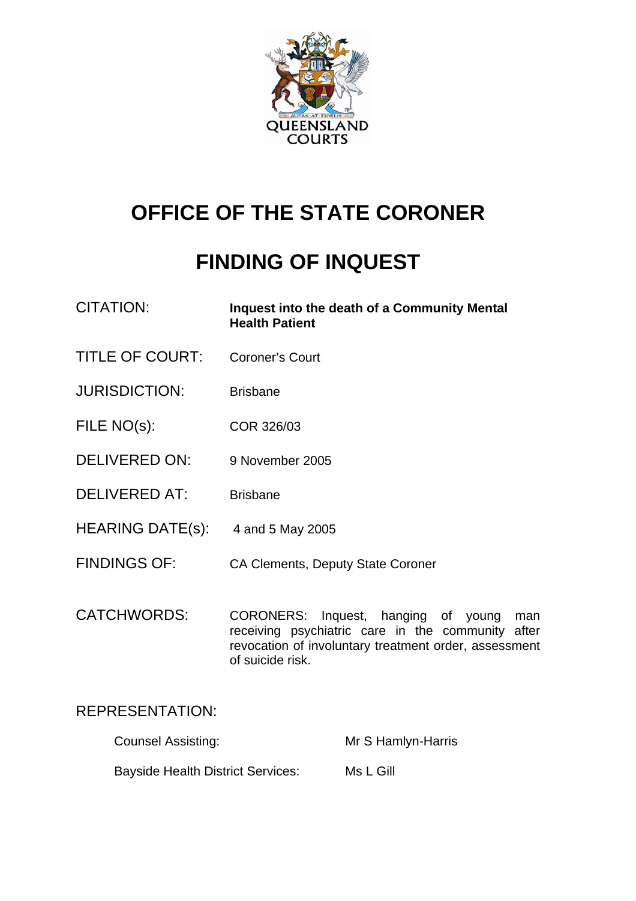

# **OFFICE OF THE STATE CORONER**

## **FINDING OF INQUEST**

- CITATION: **Inquest into the death of a Community Mental Health Patient**
- TITLE OF COURT: Coroner's Court
- JURISDICTION: Brisbane
- FILE NO(s): COR 326/03
- DELIVERED ON: 9 November 2005
- DELIVERED AT: Brisbane
- HEARING DATE(s): 4 and 5 May 2005
- FINDINGS OF: CA Clements, Deputy State Coroner
- CATCHWORDS: CORONERS: Inquest, hanging of young man receiving psychiatric care in the community after revocation of involuntary treatment order, assessment of suicide risk.

## REPRESENTATION:

| <b>Counsel Assisting:</b>                | Mr S Hamlyn-Harris |
|------------------------------------------|--------------------|
| <b>Bayside Health District Services:</b> | Ms L Gill          |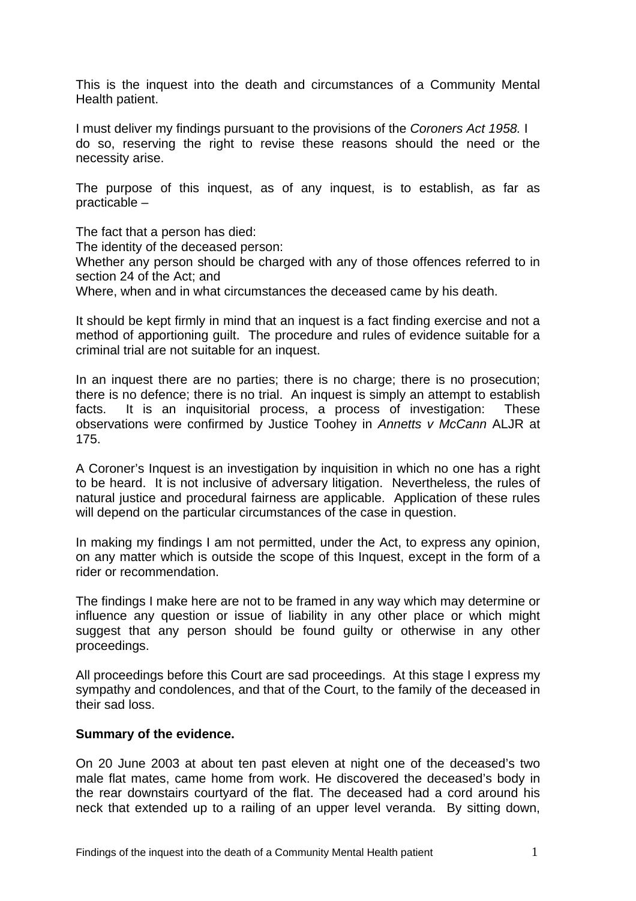This is the inquest into the death and circumstances of a Community Mental Health patient.

I must deliver my findings pursuant to the provisions of the *Coroners Act 1958.* I do so, reserving the right to revise these reasons should the need or the necessity arise.

The purpose of this inquest, as of any inquest, is to establish, as far as practicable –

The fact that a person has died:

The identity of the deceased person:

Whether any person should be charged with any of those offences referred to in section 24 of the Act; and

Where, when and in what circumstances the deceased came by his death.

It should be kept firmly in mind that an inquest is a fact finding exercise and not a method of apportioning guilt. The procedure and rules of evidence suitable for a criminal trial are not suitable for an inquest.

In an inquest there are no parties; there is no charge; there is no prosecution; there is no defence; there is no trial. An inquest is simply an attempt to establish facts. It is an inquisitorial process, a process of investigation: These observations were confirmed by Justice Toohey in *Annetts v McCann* ALJR at 175.

A Coroner's Inquest is an investigation by inquisition in which no one has a right to be heard. It is not inclusive of adversary litigation. Nevertheless, the rules of natural justice and procedural fairness are applicable. Application of these rules will depend on the particular circumstances of the case in question.

In making my findings I am not permitted, under the Act, to express any opinion, on any matter which is outside the scope of this Inquest, except in the form of a rider or recommendation.

The findings I make here are not to be framed in any way which may determine or influence any question or issue of liability in any other place or which might suggest that any person should be found guilty or otherwise in any other proceedings.

All proceedings before this Court are sad proceedings. At this stage I express my sympathy and condolences, and that of the Court, to the family of the deceased in their sad loss.

### **Summary of the evidence.**

On 20 June 2003 at about ten past eleven at night one of the deceased's two male flat mates, came home from work. He discovered the deceased's body in the rear downstairs courtyard of the flat. The deceased had a cord around his neck that extended up to a railing of an upper level veranda. By sitting down,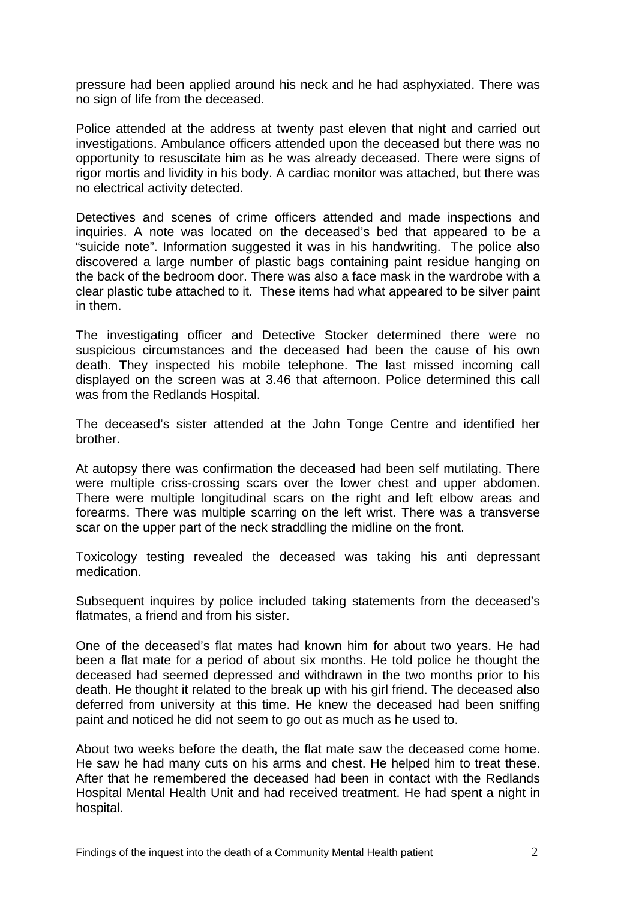pressure had been applied around his neck and he had asphyxiated. There was no sign of life from the deceased.

Police attended at the address at twenty past eleven that night and carried out investigations. Ambulance officers attended upon the deceased but there was no opportunity to resuscitate him as he was already deceased. There were signs of rigor mortis and lividity in his body. A cardiac monitor was attached, but there was no electrical activity detected.

Detectives and scenes of crime officers attended and made inspections and inquiries. A note was located on the deceased's bed that appeared to be a "suicide note". Information suggested it was in his handwriting. The police also discovered a large number of plastic bags containing paint residue hanging on the back of the bedroom door. There was also a face mask in the wardrobe with a clear plastic tube attached to it. These items had what appeared to be silver paint in them.

The investigating officer and Detective Stocker determined there were no suspicious circumstances and the deceased had been the cause of his own death. They inspected his mobile telephone. The last missed incoming call displayed on the screen was at 3.46 that afternoon. Police determined this call was from the Redlands Hospital.

The deceased's sister attended at the John Tonge Centre and identified her brother.

At autopsy there was confirmation the deceased had been self mutilating. There were multiple criss-crossing scars over the lower chest and upper abdomen. There were multiple longitudinal scars on the right and left elbow areas and forearms. There was multiple scarring on the left wrist. There was a transverse scar on the upper part of the neck straddling the midline on the front.

Toxicology testing revealed the deceased was taking his anti depressant medication.

Subsequent inquires by police included taking statements from the deceased's flatmates, a friend and from his sister.

One of the deceased's flat mates had known him for about two years. He had been a flat mate for a period of about six months. He told police he thought the deceased had seemed depressed and withdrawn in the two months prior to his death. He thought it related to the break up with his girl friend. The deceased also deferred from university at this time. He knew the deceased had been sniffing paint and noticed he did not seem to go out as much as he used to.

About two weeks before the death, the flat mate saw the deceased come home. He saw he had many cuts on his arms and chest. He helped him to treat these. After that he remembered the deceased had been in contact with the Redlands Hospital Mental Health Unit and had received treatment. He had spent a night in hospital.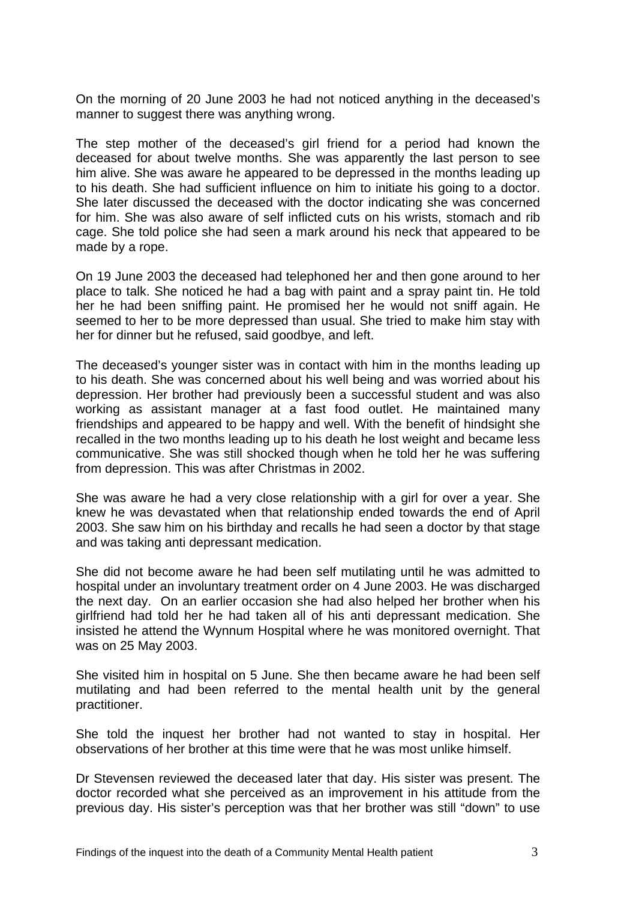On the morning of 20 June 2003 he had not noticed anything in the deceased's manner to suggest there was anything wrong.

The step mother of the deceased's girl friend for a period had known the deceased for about twelve months. She was apparently the last person to see him alive. She was aware he appeared to be depressed in the months leading up to his death. She had sufficient influence on him to initiate his going to a doctor. She later discussed the deceased with the doctor indicating she was concerned for him. She was also aware of self inflicted cuts on his wrists, stomach and rib cage. She told police she had seen a mark around his neck that appeared to be made by a rope.

On 19 June 2003 the deceased had telephoned her and then gone around to her place to talk. She noticed he had a bag with paint and a spray paint tin. He told her he had been sniffing paint. He promised her he would not sniff again. He seemed to her to be more depressed than usual. She tried to make him stay with her for dinner but he refused, said goodbye, and left.

The deceased's younger sister was in contact with him in the months leading up to his death. She was concerned about his well being and was worried about his depression. Her brother had previously been a successful student and was also working as assistant manager at a fast food outlet. He maintained many friendships and appeared to be happy and well. With the benefit of hindsight she recalled in the two months leading up to his death he lost weight and became less communicative. She was still shocked though when he told her he was suffering from depression. This was after Christmas in 2002.

She was aware he had a very close relationship with a girl for over a year. She knew he was devastated when that relationship ended towards the end of April 2003. She saw him on his birthday and recalls he had seen a doctor by that stage and was taking anti depressant medication.

She did not become aware he had been self mutilating until he was admitted to hospital under an involuntary treatment order on 4 June 2003. He was discharged the next day. On an earlier occasion she had also helped her brother when his girlfriend had told her he had taken all of his anti depressant medication. She insisted he attend the Wynnum Hospital where he was monitored overnight. That was on 25 May 2003.

She visited him in hospital on 5 June. She then became aware he had been self mutilating and had been referred to the mental health unit by the general practitioner.

She told the inquest her brother had not wanted to stay in hospital. Her observations of her brother at this time were that he was most unlike himself.

Dr Stevensen reviewed the deceased later that day. His sister was present. The doctor recorded what she perceived as an improvement in his attitude from the previous day. His sister's perception was that her brother was still "down" to use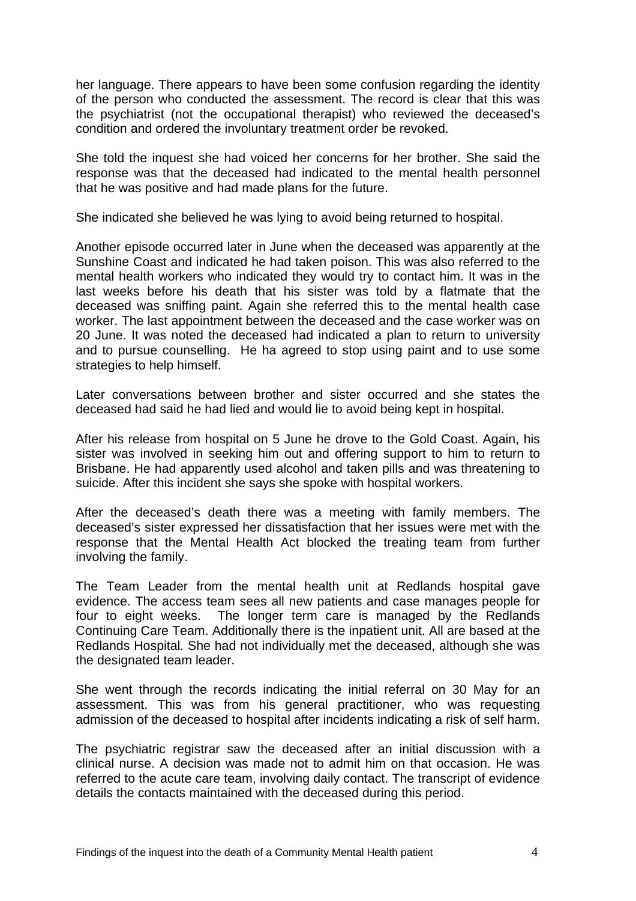her language. There appears to have been some confusion regarding the identity of the person who conducted the assessment. The record is clear that this was the psychiatrist (not the occupational therapist) who reviewed the deceased's condition and ordered the involuntary treatment order be revoked.

She told the inquest she had voiced her concerns for her brother. She said the response was that the deceased had indicated to the mental health personnel that he was positive and had made plans for the future.

She indicated she believed he was lying to avoid being returned to hospital.

Another episode occurred later in June when the deceased was apparently at the Sunshine Coast and indicated he had taken poison. This was also referred to the mental health workers who indicated they would try to contact him. It was in the last weeks before his death that his sister was told by a flatmate that the deceased was sniffing paint. Again she referred this to the mental health case worker. The last appointment between the deceased and the case worker was on 20 June. It was noted the deceased had indicated a plan to return to university and to pursue counselling. He ha agreed to stop using paint and to use some strategies to help himself.

Later conversations between brother and sister occurred and she states the deceased had said he had lied and would lie to avoid being kept in hospital.

After his release from hospital on 5 June he drove to the Gold Coast. Again, his sister was involved in seeking him out and offering support to him to return to Brisbane. He had apparently used alcohol and taken pills and was threatening to suicide. After this incident she says she spoke with hospital workers.

After the deceased's death there was a meeting with family members. The deceased's sister expressed her dissatisfaction that her issues were met with the response that the Mental Health Act blocked the treating team from further involving the family.

The Team Leader from the mental health unit at Redlands hospital gave evidence. The access team sees all new patients and case manages people for four to eight weeks. The longer term care is managed by the Redlands Continuing Care Team. Additionally there is the inpatient unit. All are based at the Redlands Hospital. She had not individually met the deceased, although she was the designated team leader.

She went through the records indicating the initial referral on 30 May for an assessment. This was from his general practitioner, who was requesting admission of the deceased to hospital after incidents indicating a risk of self harm.

The psychiatric registrar saw the deceased after an initial discussion with a clinical nurse. A decision was made not to admit him on that occasion. He was referred to the acute care team, involving daily contact. The transcript of evidence details the contacts maintained with the deceased during this period.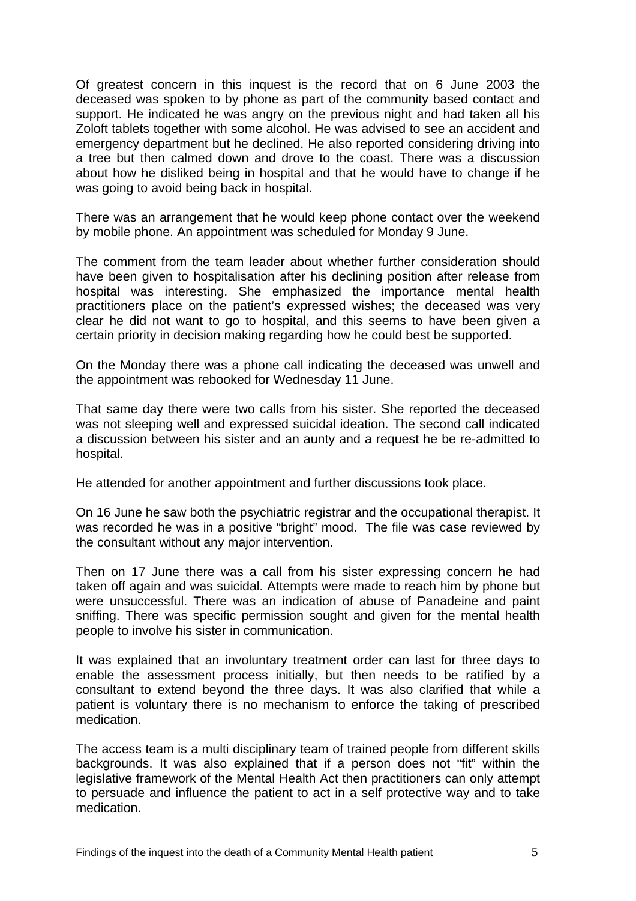Of greatest concern in this inquest is the record that on 6 June 2003 the deceased was spoken to by phone as part of the community based contact and support. He indicated he was angry on the previous night and had taken all his Zoloft tablets together with some alcohol. He was advised to see an accident and emergency department but he declined. He also reported considering driving into a tree but then calmed down and drove to the coast. There was a discussion about how he disliked being in hospital and that he would have to change if he was going to avoid being back in hospital.

There was an arrangement that he would keep phone contact over the weekend by mobile phone. An appointment was scheduled for Monday 9 June.

The comment from the team leader about whether further consideration should have been given to hospitalisation after his declining position after release from hospital was interesting. She emphasized the importance mental health practitioners place on the patient's expressed wishes; the deceased was very clear he did not want to go to hospital, and this seems to have been given a certain priority in decision making regarding how he could best be supported.

On the Monday there was a phone call indicating the deceased was unwell and the appointment was rebooked for Wednesday 11 June.

That same day there were two calls from his sister. She reported the deceased was not sleeping well and expressed suicidal ideation. The second call indicated a discussion between his sister and an aunty and a request he be re-admitted to hospital.

He attended for another appointment and further discussions took place.

On 16 June he saw both the psychiatric registrar and the occupational therapist. It was recorded he was in a positive "bright" mood. The file was case reviewed by the consultant without any major intervention.

Then on 17 June there was a call from his sister expressing concern he had taken off again and was suicidal. Attempts were made to reach him by phone but were unsuccessful. There was an indication of abuse of Panadeine and paint sniffing. There was specific permission sought and given for the mental health people to involve his sister in communication.

It was explained that an involuntary treatment order can last for three days to enable the assessment process initially, but then needs to be ratified by a consultant to extend beyond the three days. It was also clarified that while a patient is voluntary there is no mechanism to enforce the taking of prescribed medication.

The access team is a multi disciplinary team of trained people from different skills backgrounds. It was also explained that if a person does not "fit" within the legislative framework of the Mental Health Act then practitioners can only attempt to persuade and influence the patient to act in a self protective way and to take medication.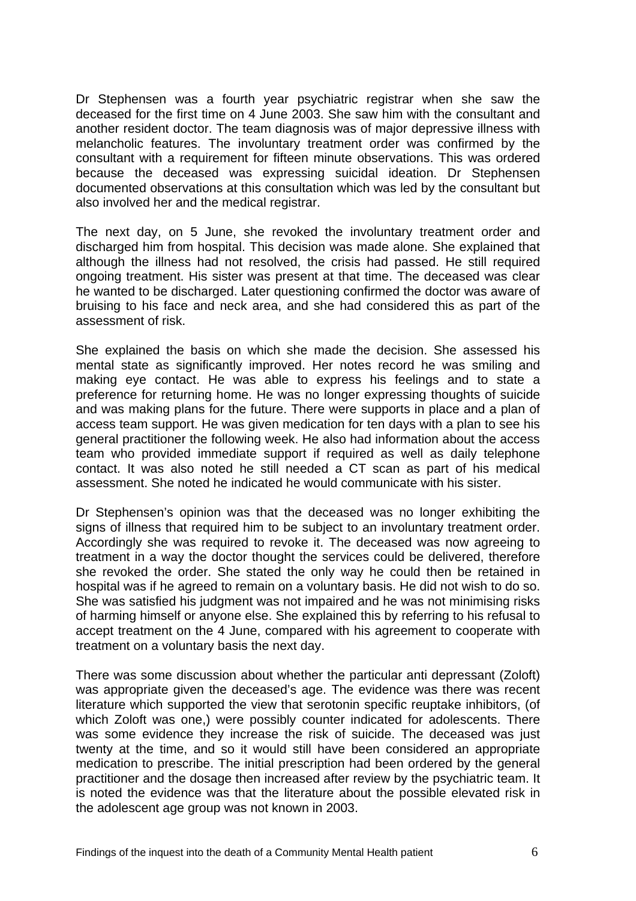Dr Stephensen was a fourth year psychiatric registrar when she saw the deceased for the first time on 4 June 2003. She saw him with the consultant and another resident doctor. The team diagnosis was of major depressive illness with melancholic features. The involuntary treatment order was confirmed by the consultant with a requirement for fifteen minute observations. This was ordered because the deceased was expressing suicidal ideation. Dr Stephensen documented observations at this consultation which was led by the consultant but also involved her and the medical registrar.

The next day, on 5 June, she revoked the involuntary treatment order and discharged him from hospital. This decision was made alone. She explained that although the illness had not resolved, the crisis had passed. He still required ongoing treatment. His sister was present at that time. The deceased was clear he wanted to be discharged. Later questioning confirmed the doctor was aware of bruising to his face and neck area, and she had considered this as part of the assessment of risk.

She explained the basis on which she made the decision. She assessed his mental state as significantly improved. Her notes record he was smiling and making eye contact. He was able to express his feelings and to state a preference for returning home. He was no longer expressing thoughts of suicide and was making plans for the future. There were supports in place and a plan of access team support. He was given medication for ten days with a plan to see his general practitioner the following week. He also had information about the access team who provided immediate support if required as well as daily telephone contact. It was also noted he still needed a CT scan as part of his medical assessment. She noted he indicated he would communicate with his sister.

Dr Stephensen's opinion was that the deceased was no longer exhibiting the signs of illness that required him to be subject to an involuntary treatment order. Accordingly she was required to revoke it. The deceased was now agreeing to treatment in a way the doctor thought the services could be delivered, therefore she revoked the order. She stated the only way he could then be retained in hospital was if he agreed to remain on a voluntary basis. He did not wish to do so. She was satisfied his judgment was not impaired and he was not minimising risks of harming himself or anyone else. She explained this by referring to his refusal to accept treatment on the 4 June, compared with his agreement to cooperate with treatment on a voluntary basis the next day.

There was some discussion about whether the particular anti depressant (Zoloft) was appropriate given the deceased's age. The evidence was there was recent literature which supported the view that serotonin specific reuptake inhibitors, (of which Zoloft was one,) were possibly counter indicated for adolescents. There was some evidence they increase the risk of suicide. The deceased was just twenty at the time, and so it would still have been considered an appropriate medication to prescribe. The initial prescription had been ordered by the general practitioner and the dosage then increased after review by the psychiatric team. It is noted the evidence was that the literature about the possible elevated risk in the adolescent age group was not known in 2003.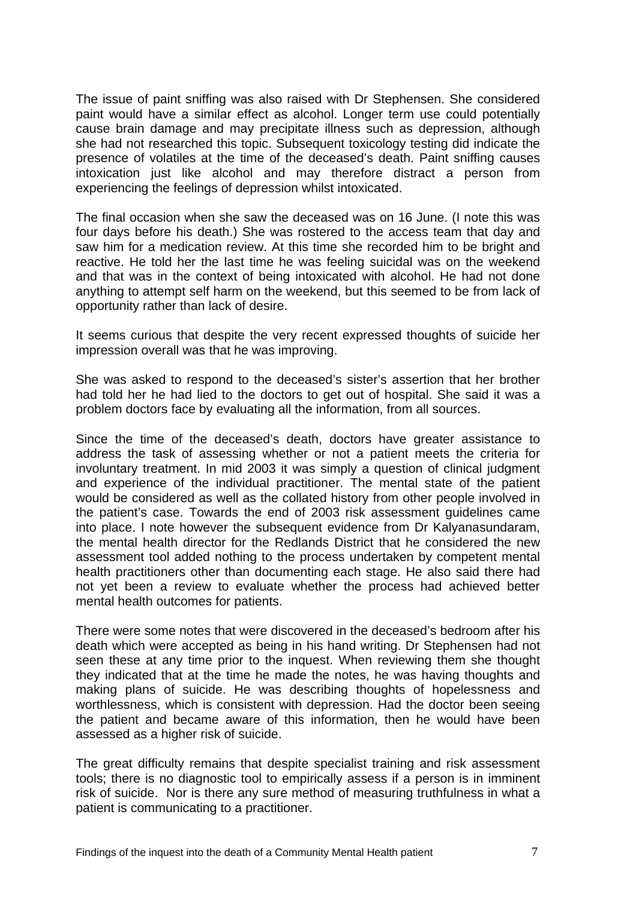The issue of paint sniffing was also raised with Dr Stephensen. She considered paint would have a similar effect as alcohol. Longer term use could potentially cause brain damage and may precipitate illness such as depression, although she had not researched this topic. Subsequent toxicology testing did indicate the presence of volatiles at the time of the deceased's death. Paint sniffing causes intoxication just like alcohol and may therefore distract a person from experiencing the feelings of depression whilst intoxicated.

The final occasion when she saw the deceased was on 16 June. (I note this was four days before his death.) She was rostered to the access team that day and saw him for a medication review. At this time she recorded him to be bright and reactive. He told her the last time he was feeling suicidal was on the weekend and that was in the context of being intoxicated with alcohol. He had not done anything to attempt self harm on the weekend, but this seemed to be from lack of opportunity rather than lack of desire.

It seems curious that despite the very recent expressed thoughts of suicide her impression overall was that he was improving.

She was asked to respond to the deceased's sister's assertion that her brother had told her he had lied to the doctors to get out of hospital. She said it was a problem doctors face by evaluating all the information, from all sources.

Since the time of the deceased's death, doctors have greater assistance to address the task of assessing whether or not a patient meets the criteria for involuntary treatment. In mid 2003 it was simply a question of clinical judgment and experience of the individual practitioner. The mental state of the patient would be considered as well as the collated history from other people involved in the patient's case. Towards the end of 2003 risk assessment guidelines came into place. I note however the subsequent evidence from Dr Kalyanasundaram, the mental health director for the Redlands District that he considered the new assessment tool added nothing to the process undertaken by competent mental health practitioners other than documenting each stage. He also said there had not yet been a review to evaluate whether the process had achieved better mental health outcomes for patients.

There were some notes that were discovered in the deceased's bedroom after his death which were accepted as being in his hand writing. Dr Stephensen had not seen these at any time prior to the inquest. When reviewing them she thought they indicated that at the time he made the notes, he was having thoughts and making plans of suicide. He was describing thoughts of hopelessness and worthlessness, which is consistent with depression. Had the doctor been seeing the patient and became aware of this information, then he would have been assessed as a higher risk of suicide.

The great difficulty remains that despite specialist training and risk assessment tools; there is no diagnostic tool to empirically assess if a person is in imminent risk of suicide. Nor is there any sure method of measuring truthfulness in what a patient is communicating to a practitioner.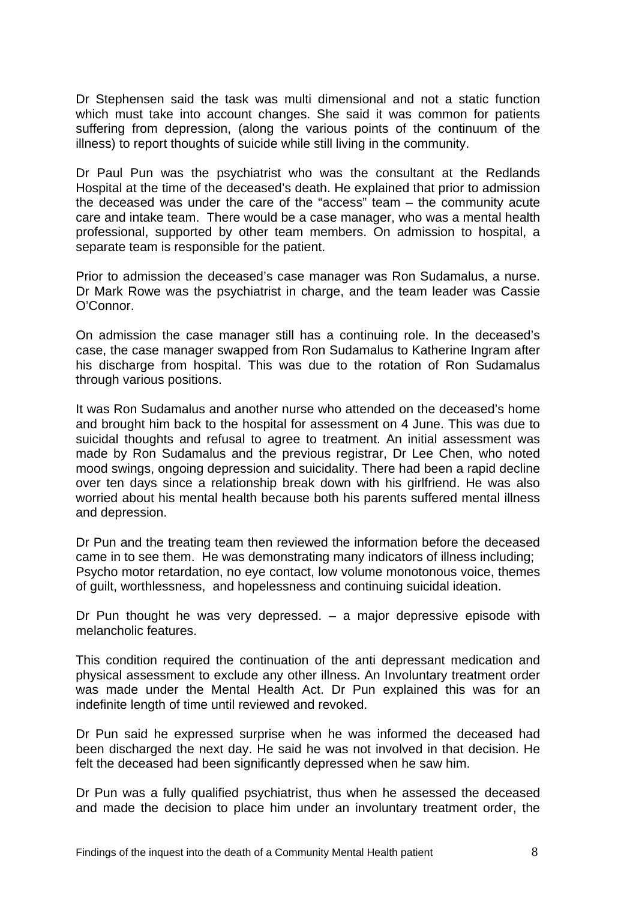Dr Stephensen said the task was multi dimensional and not a static function which must take into account changes. She said it was common for patients suffering from depression, (along the various points of the continuum of the illness) to report thoughts of suicide while still living in the community.

Dr Paul Pun was the psychiatrist who was the consultant at the Redlands Hospital at the time of the deceased's death. He explained that prior to admission the deceased was under the care of the "access" team – the community acute care and intake team. There would be a case manager, who was a mental health professional, supported by other team members. On admission to hospital, a separate team is responsible for the patient.

Prior to admission the deceased's case manager was Ron Sudamalus, a nurse. Dr Mark Rowe was the psychiatrist in charge, and the team leader was Cassie O'Connor.

On admission the case manager still has a continuing role. In the deceased's case, the case manager swapped from Ron Sudamalus to Katherine Ingram after his discharge from hospital. This was due to the rotation of Ron Sudamalus through various positions.

It was Ron Sudamalus and another nurse who attended on the deceased's home and brought him back to the hospital for assessment on 4 June. This was due to suicidal thoughts and refusal to agree to treatment. An initial assessment was made by Ron Sudamalus and the previous registrar, Dr Lee Chen, who noted mood swings, ongoing depression and suicidality. There had been a rapid decline over ten days since a relationship break down with his girlfriend. He was also worried about his mental health because both his parents suffered mental illness and depression.

Dr Pun and the treating team then reviewed the information before the deceased came in to see them. He was demonstrating many indicators of illness including; Psycho motor retardation, no eye contact, low volume monotonous voice, themes of guilt, worthlessness, and hopelessness and continuing suicidal ideation.

Dr Pun thought he was very depressed.  $-$  a major depressive episode with melancholic features.

This condition required the continuation of the anti depressant medication and physical assessment to exclude any other illness. An Involuntary treatment order was made under the Mental Health Act. Dr Pun explained this was for an indefinite length of time until reviewed and revoked.

Dr Pun said he expressed surprise when he was informed the deceased had been discharged the next day. He said he was not involved in that decision. He felt the deceased had been significantly depressed when he saw him.

Dr Pun was a fully qualified psychiatrist, thus when he assessed the deceased and made the decision to place him under an involuntary treatment order, the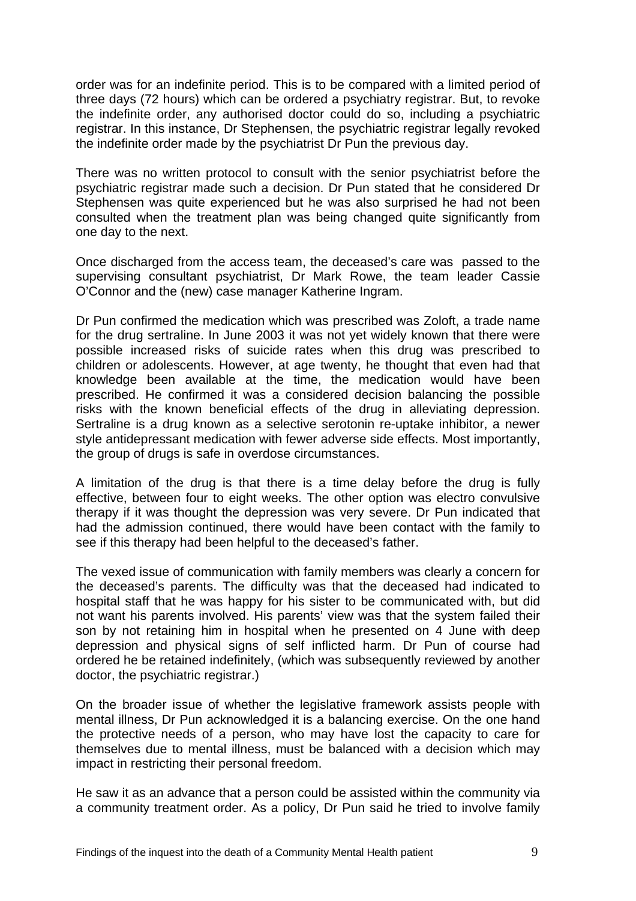order was for an indefinite period. This is to be compared with a limited period of three days (72 hours) which can be ordered a psychiatry registrar. But, to revoke the indefinite order, any authorised doctor could do so, including a psychiatric registrar. In this instance, Dr Stephensen, the psychiatric registrar legally revoked the indefinite order made by the psychiatrist Dr Pun the previous day.

There was no written protocol to consult with the senior psychiatrist before the psychiatric registrar made such a decision. Dr Pun stated that he considered Dr Stephensen was quite experienced but he was also surprised he had not been consulted when the treatment plan was being changed quite significantly from one day to the next.

Once discharged from the access team, the deceased's care was passed to the supervising consultant psychiatrist, Dr Mark Rowe, the team leader Cassie O'Connor and the (new) case manager Katherine Ingram.

Dr Pun confirmed the medication which was prescribed was Zoloft, a trade name for the drug sertraline. In June 2003 it was not yet widely known that there were possible increased risks of suicide rates when this drug was prescribed to children or adolescents. However, at age twenty, he thought that even had that knowledge been available at the time, the medication would have been prescribed. He confirmed it was a considered decision balancing the possible risks with the known beneficial effects of the drug in alleviating depression. Sertraline is a drug known as a selective serotonin re-uptake inhibitor, a newer style antidepressant medication with fewer adverse side effects. Most importantly, the group of drugs is safe in overdose circumstances.

A limitation of the drug is that there is a time delay before the drug is fully effective, between four to eight weeks. The other option was electro convulsive therapy if it was thought the depression was very severe. Dr Pun indicated that had the admission continued, there would have been contact with the family to see if this therapy had been helpful to the deceased's father.

The vexed issue of communication with family members was clearly a concern for the deceased's parents. The difficulty was that the deceased had indicated to hospital staff that he was happy for his sister to be communicated with, but did not want his parents involved. His parents' view was that the system failed their son by not retaining him in hospital when he presented on 4 June with deep depression and physical signs of self inflicted harm. Dr Pun of course had ordered he be retained indefinitely, (which was subsequently reviewed by another doctor, the psychiatric registrar.)

On the broader issue of whether the legislative framework assists people with mental illness, Dr Pun acknowledged it is a balancing exercise. On the one hand the protective needs of a person, who may have lost the capacity to care for themselves due to mental illness, must be balanced with a decision which may impact in restricting their personal freedom.

He saw it as an advance that a person could be assisted within the community via a community treatment order. As a policy, Dr Pun said he tried to involve family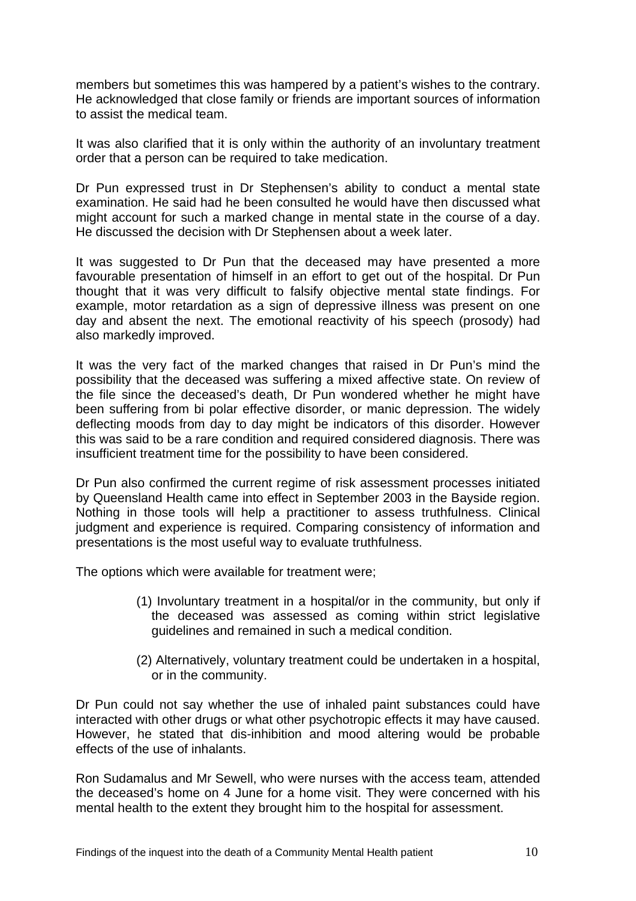members but sometimes this was hampered by a patient's wishes to the contrary. He acknowledged that close family or friends are important sources of information to assist the medical team.

It was also clarified that it is only within the authority of an involuntary treatment order that a person can be required to take medication.

Dr Pun expressed trust in Dr Stephensen's ability to conduct a mental state examination. He said had he been consulted he would have then discussed what might account for such a marked change in mental state in the course of a day. He discussed the decision with Dr Stephensen about a week later.

It was suggested to Dr Pun that the deceased may have presented a more favourable presentation of himself in an effort to get out of the hospital. Dr Pun thought that it was very difficult to falsify objective mental state findings. For example, motor retardation as a sign of depressive illness was present on one day and absent the next. The emotional reactivity of his speech (prosody) had also markedly improved.

It was the very fact of the marked changes that raised in Dr Pun's mind the possibility that the deceased was suffering a mixed affective state. On review of the file since the deceased's death, Dr Pun wondered whether he might have been suffering from bi polar effective disorder, or manic depression. The widely deflecting moods from day to day might be indicators of this disorder. However this was said to be a rare condition and required considered diagnosis. There was insufficient treatment time for the possibility to have been considered.

Dr Pun also confirmed the current regime of risk assessment processes initiated by Queensland Health came into effect in September 2003 in the Bayside region. Nothing in those tools will help a practitioner to assess truthfulness. Clinical judgment and experience is required. Comparing consistency of information and presentations is the most useful way to evaluate truthfulness.

The options which were available for treatment were;

- (1) Involuntary treatment in a hospital/or in the community, but only if the deceased was assessed as coming within strict legislative guidelines and remained in such a medical condition.
- (2) Alternatively, voluntary treatment could be undertaken in a hospital, or in the community.

Dr Pun could not say whether the use of inhaled paint substances could have interacted with other drugs or what other psychotropic effects it may have caused. However, he stated that dis-inhibition and mood altering would be probable effects of the use of inhalants.

Ron Sudamalus and Mr Sewell, who were nurses with the access team, attended the deceased's home on 4 June for a home visit. They were concerned with his mental health to the extent they brought him to the hospital for assessment.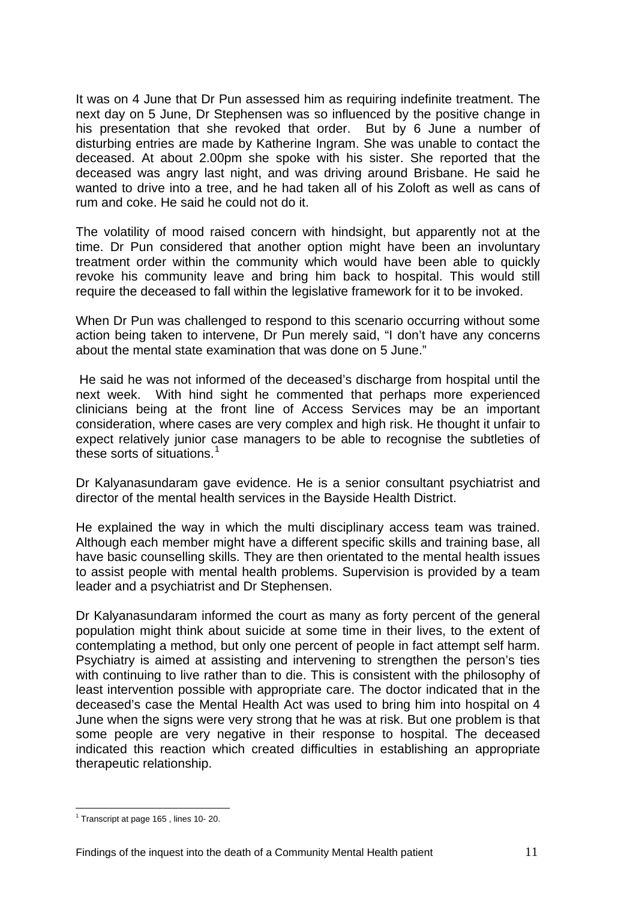It was on 4 June that Dr Pun assessed him as requiring indefinite treatment. The next day on 5 June, Dr Stephensen was so influenced by the positive change in his presentation that she revoked that order. But by 6 June a number of disturbing entries are made by Katherine Ingram. She was unable to contact the deceased. At about 2.00pm she spoke with his sister. She reported that the deceased was angry last night, and was driving around Brisbane. He said he wanted to drive into a tree, and he had taken all of his Zoloft as well as cans of rum and coke. He said he could not do it.

The volatility of mood raised concern with hindsight, but apparently not at the time. Dr Pun considered that another option might have been an involuntary treatment order within the community which would have been able to quickly revoke his community leave and bring him back to hospital. This would still require the deceased to fall within the legislative framework for it to be invoked.

When Dr Pun was challenged to respond to this scenario occurring without some action being taken to intervene, Dr Pun merely said, "I don't have any concerns about the mental state examination that was done on 5 June."

 He said he was not informed of the deceased's discharge from hospital until the next week. With hind sight he commented that perhaps more experienced clinicians being at the front line of Access Services may be an important consideration, where cases are very complex and high risk. He thought it unfair to expect relatively junior case managers to be able to recognise the subtleties of these sorts of situations.<sup>[1](#page-11-0)</sup>

Dr Kalyanasundaram gave evidence. He is a senior consultant psychiatrist and director of the mental health services in the Bayside Health District.

He explained the way in which the multi disciplinary access team was trained. Although each member might have a different specific skills and training base, all have basic counselling skills. They are then orientated to the mental health issues to assist people with mental health problems. Supervision is provided by a team leader and a psychiatrist and Dr Stephensen.

Dr Kalyanasundaram informed the court as many as forty percent of the general population might think about suicide at some time in their lives, to the extent of contemplating a method, but only one percent of people in fact attempt self harm. Psychiatry is aimed at assisting and intervening to strengthen the person's ties with continuing to live rather than to die. This is consistent with the philosophy of least intervention possible with appropriate care. The doctor indicated that in the deceased's case the Mental Health Act was used to bring him into hospital on 4 June when the signs were very strong that he was at risk. But one problem is that some people are very negative in their response to hospital. The deceased indicated this reaction which created difficulties in establishing an appropriate therapeutic relationship.

<span id="page-11-0"></span><sup>&</sup>lt;sup>1</sup> Transcript at page 165, lines 10- 20.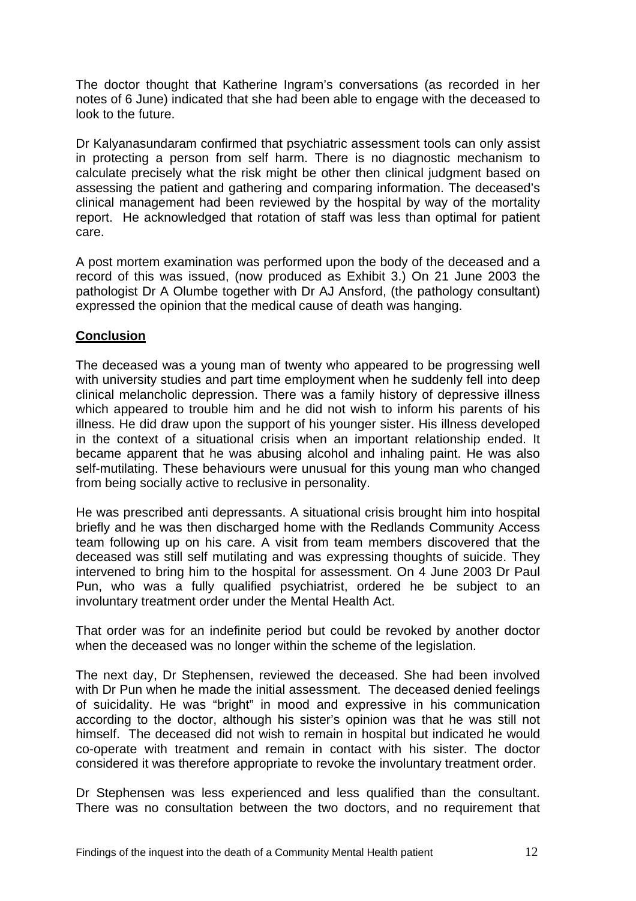The doctor thought that Katherine Ingram's conversations (as recorded in her notes of 6 June) indicated that she had been able to engage with the deceased to look to the future.

Dr Kalyanasundaram confirmed that psychiatric assessment tools can only assist in protecting a person from self harm. There is no diagnostic mechanism to calculate precisely what the risk might be other then clinical judgment based on assessing the patient and gathering and comparing information. The deceased's clinical management had been reviewed by the hospital by way of the mortality report. He acknowledged that rotation of staff was less than optimal for patient care.

A post mortem examination was performed upon the body of the deceased and a record of this was issued, (now produced as Exhibit 3.) On 21 June 2003 the pathologist Dr A Olumbe together with Dr AJ Ansford, (the pathology consultant) expressed the opinion that the medical cause of death was hanging.

## **Conclusion**

The deceased was a young man of twenty who appeared to be progressing well with university studies and part time employment when he suddenly fell into deep clinical melancholic depression. There was a family history of depressive illness which appeared to trouble him and he did not wish to inform his parents of his illness. He did draw upon the support of his younger sister. His illness developed in the context of a situational crisis when an important relationship ended. It became apparent that he was abusing alcohol and inhaling paint. He was also self-mutilating. These behaviours were unusual for this young man who changed from being socially active to reclusive in personality.

He was prescribed anti depressants. A situational crisis brought him into hospital briefly and he was then discharged home with the Redlands Community Access team following up on his care. A visit from team members discovered that the deceased was still self mutilating and was expressing thoughts of suicide. They intervened to bring him to the hospital for assessment. On 4 June 2003 Dr Paul Pun, who was a fully qualified psychiatrist, ordered he be subject to an involuntary treatment order under the Mental Health Act.

That order was for an indefinite period but could be revoked by another doctor when the deceased was no longer within the scheme of the legislation.

The next day, Dr Stephensen, reviewed the deceased. She had been involved with Dr Pun when he made the initial assessment. The deceased denied feelings of suicidality. He was "bright" in mood and expressive in his communication according to the doctor, although his sister's opinion was that he was still not himself. The deceased did not wish to remain in hospital but indicated he would co-operate with treatment and remain in contact with his sister. The doctor considered it was therefore appropriate to revoke the involuntary treatment order.

Dr Stephensen was less experienced and less qualified than the consultant. There was no consultation between the two doctors, and no requirement that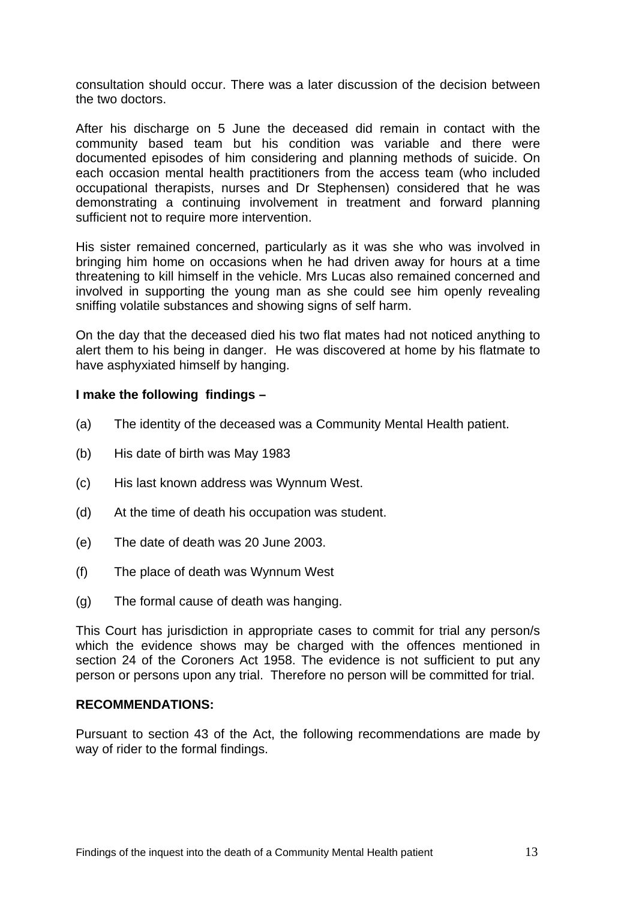consultation should occur. There was a later discussion of the decision between the two doctors.

After his discharge on 5 June the deceased did remain in contact with the community based team but his condition was variable and there were documented episodes of him considering and planning methods of suicide. On each occasion mental health practitioners from the access team (who included occupational therapists, nurses and Dr Stephensen) considered that he was demonstrating a continuing involvement in treatment and forward planning sufficient not to require more intervention.

His sister remained concerned, particularly as it was she who was involved in bringing him home on occasions when he had driven away for hours at a time threatening to kill himself in the vehicle. Mrs Lucas also remained concerned and involved in supporting the young man as she could see him openly revealing sniffing volatile substances and showing signs of self harm.

On the day that the deceased died his two flat mates had not noticed anything to alert them to his being in danger. He was discovered at home by his flatmate to have asphyxiated himself by hanging.

### **I make the following findings –**

- (a) The identity of the deceased was a Community Mental Health patient.
- (b) His date of birth was May 1983
- (c) His last known address was Wynnum West.
- (d) At the time of death his occupation was student.
- (e) The date of death was 20 June 2003.
- (f) The place of death was Wynnum West
- (g) The formal cause of death was hanging.

This Court has jurisdiction in appropriate cases to commit for trial any person/s which the evidence shows may be charged with the offences mentioned in section 24 of the Coroners Act 1958. The evidence is not sufficient to put any person or persons upon any trial. Therefore no person will be committed for trial.

### **RECOMMENDATIONS:**

Pursuant to section 43 of the Act, the following recommendations are made by way of rider to the formal findings.